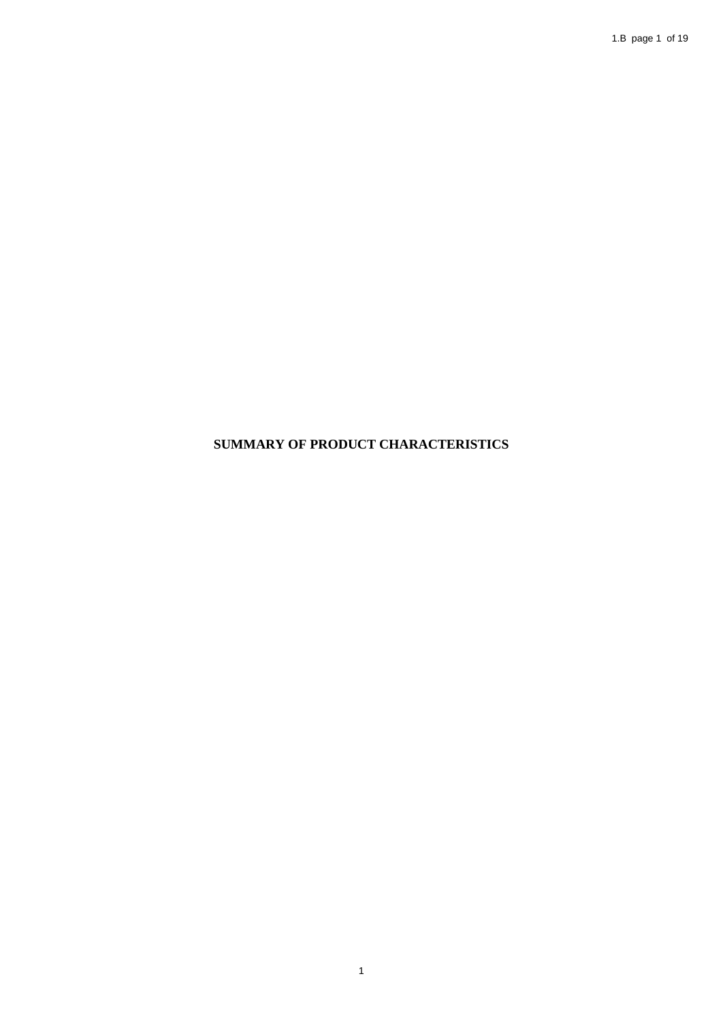# **SUMMARY OF PRODUCT CHARACTERISTICS**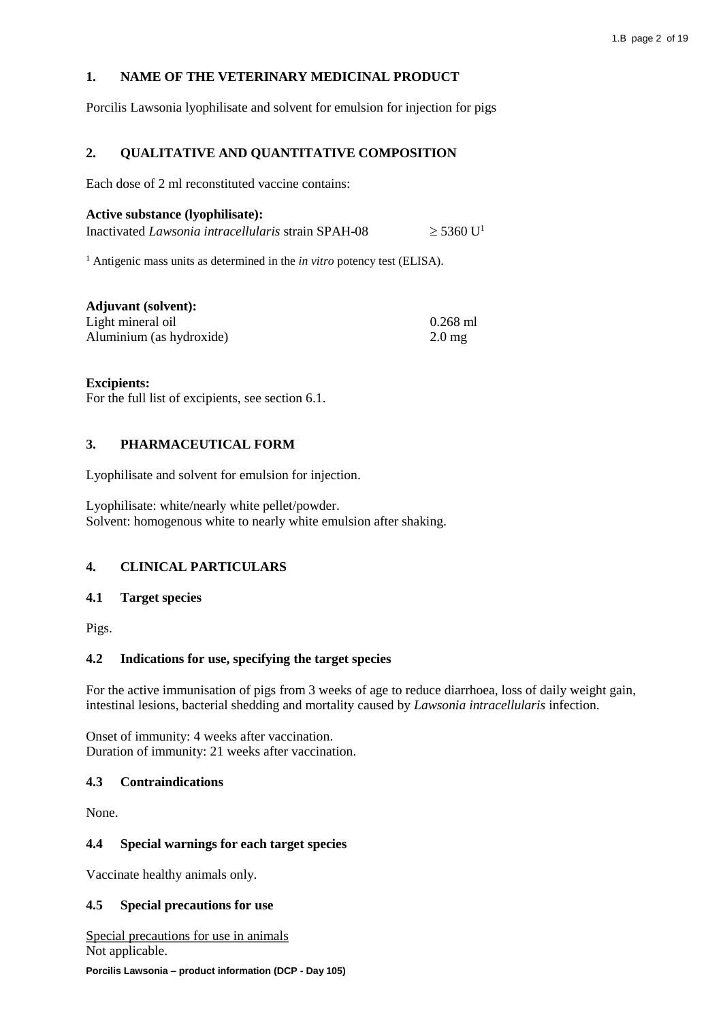# **1. NAME OF THE VETERINARY MEDICINAL PRODUCT**

Porcilis Lawsonia lyophilisate and solvent for emulsion for injection for pigs

# **2. QUALITATIVE AND QUANTITATIVE COMPOSITION**

Each dose of 2 ml reconstituted vaccine contains:

#### **Active substance (lyophilisate):**

Inactivated *Lawsonia intracellularis* strain SPAH-08  $\geq$  5360 U<sup>1</sup>

<sup>1</sup> Antigenic mass units as determined in the *in vitro* potency test (ELISA).

| <b>Adjuvant (solvent):</b> |                     |
|----------------------------|---------------------|
| Light mineral oil          | $0.268$ ml          |
| Aluminium (as hydroxide)   | $2.0 \,\mathrm{mg}$ |

**Excipients:**

For the full list of excipients, see section 6.1.

## **3. PHARMACEUTICAL FORM**

Lyophilisate and solvent for emulsion for injection.

Lyophilisate: white/nearly white pellet/powder. Solvent: homogenous white to nearly white emulsion after shaking.

## **4. CLINICAL PARTICULARS**

## **4.1 Target species**

Pigs.

# **4.2 Indications for use, specifying the target species**

For the active immunisation of pigs from 3 weeks of age to reduce diarrhoea, loss of daily weight gain, intestinal lesions, bacterial shedding and mortality caused by *Lawsonia intracellularis* infection.

Onset of immunity: 4 weeks after vaccination. Duration of immunity: 21 weeks after vaccination.

## **4.3 Contraindications**

None.

## **4.4 Special warnings for each target species**

Vaccinate healthy animals only.

## **4.5 Special precautions for use**

**Porcilis Lawsonia – product information (DCP - Day 105)** Special precautions for use in animals Not applicable.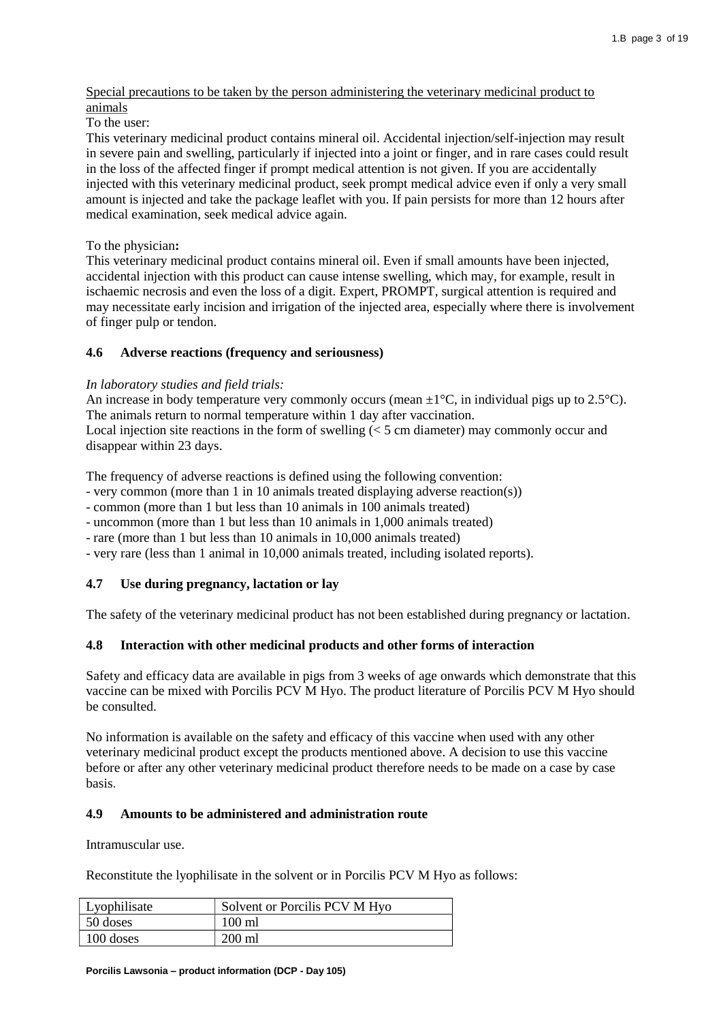# Special precautions to be taken by the person administering the veterinary medicinal product to animals

To the user:

This veterinary medicinal product contains mineral oil. Accidental injection/self-injection may result in severe pain and swelling, particularly if injected into a joint or finger, and in rare cases could result in the loss of the affected finger if prompt medical attention is not given. If you are accidentally injected with this veterinary medicinal product, seek prompt medical advice even if only a very small amount is injected and take the package leaflet with you. If pain persists for more than 12 hours after medical examination, seek medical advice again.

## To the physician**:**

This veterinary medicinal product contains mineral oil. Even if small amounts have been injected, accidental injection with this product can cause intense swelling, which may, for example, result in ischaemic necrosis and even the loss of a digit. Expert, PROMPT, surgical attention is required and may necessitate early incision and irrigation of the injected area, especially where there is involvement of finger pulp or tendon.

# **4.6 Adverse reactions (frequency and seriousness)**

## *In laboratory studies and field trials:*

An increase in body temperature very commonly occurs (mean  $\pm 1^{\circ}C$ , in individual pigs up to 2.5<sup>o</sup>C). The animals return to normal temperature within 1 day after vaccination. Local injection site reactions in the form of swelling  $(< 5$  cm diameter) may commonly occur and disappear within 23 days.

The frequency of adverse reactions is defined using the following convention:

- very common (more than 1 in 10 animals treated displaying adverse reaction(s))

- common (more than 1 but less than 10 animals in 100 animals treated)

- uncommon (more than 1 but less than 10 animals in 1,000 animals treated)

- rare (more than 1 but less than 10 animals in 10,000 animals treated)

- very rare (less than 1 animal in 10,000 animals treated, including isolated reports).

# **4.7 Use during pregnancy, lactation or lay**

The safety of the veterinary medicinal product has not been established during pregnancy or lactation.

# **4.8 Interaction with other medicinal products and other forms of interaction**

Safety and efficacy data are available in pigs from 3 weeks of age onwards which demonstrate that this vaccine can be mixed with Porcilis PCV M Hyo. The product literature of Porcilis PCV M Hyo should be consulted.

No information is available on the safety and efficacy of this vaccine when used with any other veterinary medicinal product except the products mentioned above. A decision to use this vaccine before or after any other veterinary medicinal product therefore needs to be made on a case by case basis.

## **4.9 Amounts to be administered and administration route**

Intramuscular use.

Reconstitute the lyophilisate in the solvent or in Porcilis PCV M Hyo as follows:

| Lyophilisate | Solvent or Porcilis PCV M Hyo |
|--------------|-------------------------------|
| 50 doses     | $100 \text{ ml}$              |
| $100$ doses  | $200$ ml                      |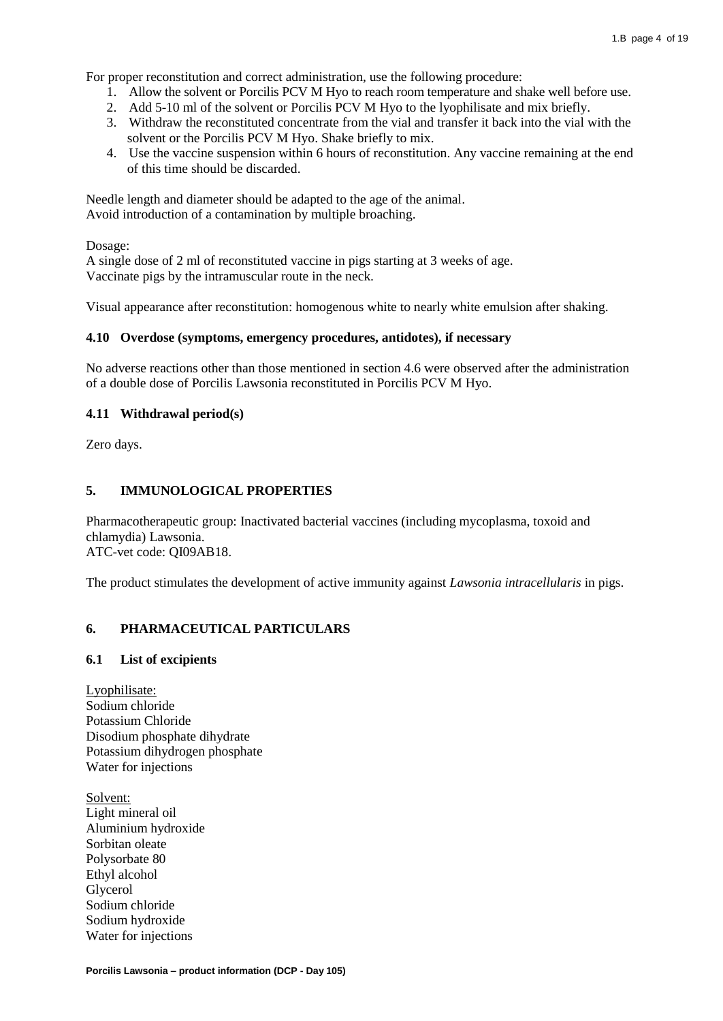For proper reconstitution and correct administration, use the following procedure:

- 1. Allow the solvent or Porcilis PCV M Hyo to reach room temperature and shake well before use.
- 2. Add 5-10 ml of the solvent or Porcilis PCV M Hyo to the lyophilisate and mix briefly.
- 3. Withdraw the reconstituted concentrate from the vial and transfer it back into the vial with the solvent or the Porcilis PCV M Hyo. Shake briefly to mix.
- 4. Use the vaccine suspension within 6 hours of reconstitution. Any vaccine remaining at the end of this time should be discarded.

Needle length and diameter should be adapted to the age of the animal. Avoid introduction of a contamination by multiple broaching.

Dosage:

A single dose of 2 ml of reconstituted vaccine in pigs starting at 3 weeks of age. Vaccinate pigs by the intramuscular route in the neck.

Visual appearance after reconstitution: homogenous white to nearly white emulsion after shaking.

#### **4.10 Overdose (symptoms, emergency procedures, antidotes), if necessary**

No adverse reactions other than those mentioned in section 4.6 were observed after the administration of a double dose of Porcilis Lawsonia reconstituted in Porcilis PCV M Hyo.

## **4.11 Withdrawal period(s)**

Zero days.

## **5. IMMUNOLOGICAL PROPERTIES**

Pharmacotherapeutic group: Inactivated bacterial vaccines (including mycoplasma, toxoid and chlamydia) Lawsonia. ATC-vet code: QI09AB18.

The product stimulates the development of active immunity against *Lawsonia intracellularis* in pigs.

# **6. PHARMACEUTICAL PARTICULARS**

## **6.1 List of excipients**

Lyophilisate: Sodium chloride Potassium Chloride Disodium phosphate dihydrate Potassium dihydrogen phosphate Water for injections

Solvent: Light mineral oil Aluminium hydroxide Sorbitan oleate Polysorbate 80 Ethyl alcohol Glycerol Sodium chloride Sodium hydroxide Water for injections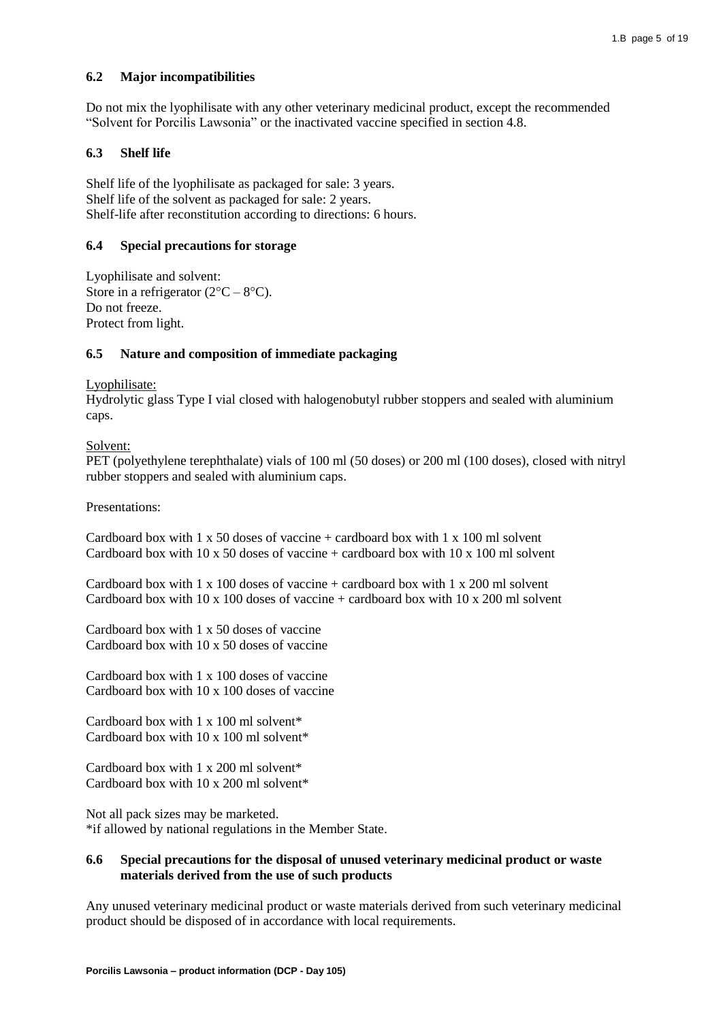# **6.2 Major incompatibilities**

Do not mix the lyophilisate with any other veterinary medicinal product, except the recommended "Solvent for Porcilis Lawsonia" or the inactivated vaccine specified in section 4.8.

## **6.3 Shelf life**

Shelf life of the lyophilisate as packaged for sale: 3 years. Shelf life of the solvent as packaged for sale: 2 years. Shelf-life after reconstitution according to directions: 6 hours.

# **6.4 Special precautions for storage**

Lyophilisate and solvent: Store in a refrigerator  $(2^{\circ}C - 8^{\circ}C)$ . Do not freeze. Protect from light.

## **6.5 Nature and composition of immediate packaging**

#### Lyophilisate:

Hydrolytic glass Type I vial closed with halogenobutyl rubber stoppers and sealed with aluminium caps.

## Solvent:

PET (polyethylene terephthalate) vials of 100 ml (50 doses) or 200 ml (100 doses), closed with nitryl rubber stoppers and sealed with aluminium caps.

Presentations:

Cardboard box with  $1 \times 50$  doses of vaccine + cardboard box with  $1 \times 100$  ml solvent Cardboard box with 10 x 50 doses of vaccine + cardboard box with 10 x 100 ml solvent

Cardboard box with  $1 \times 100$  doses of vaccine + cardboard box with  $1 \times 200$  ml solvent Cardboard box with  $10 \times 100$  doses of vaccine + cardboard box with  $10 \times 200$  ml solvent

Cardboard box with 1 x 50 doses of vaccine Cardboard box with 10 x 50 doses of vaccine

Cardboard box with 1 x 100 doses of vaccine Cardboard box with 10 x 100 doses of vaccine

Cardboard box with 1 x 100 ml solvent\* Cardboard box with 10 x 100 ml solvent\*

Cardboard box with 1 x 200 ml solvent\* Cardboard box with 10 x 200 ml solvent\*

Not all pack sizes may be marketed. \*if allowed by national regulations in the Member State.

## **6.6 Special precautions for the disposal of unused veterinary medicinal product or waste materials derived from the use of such products**

Any unused veterinary medicinal product or waste materials derived from such veterinary medicinal product should be disposed of in accordance with local requirements.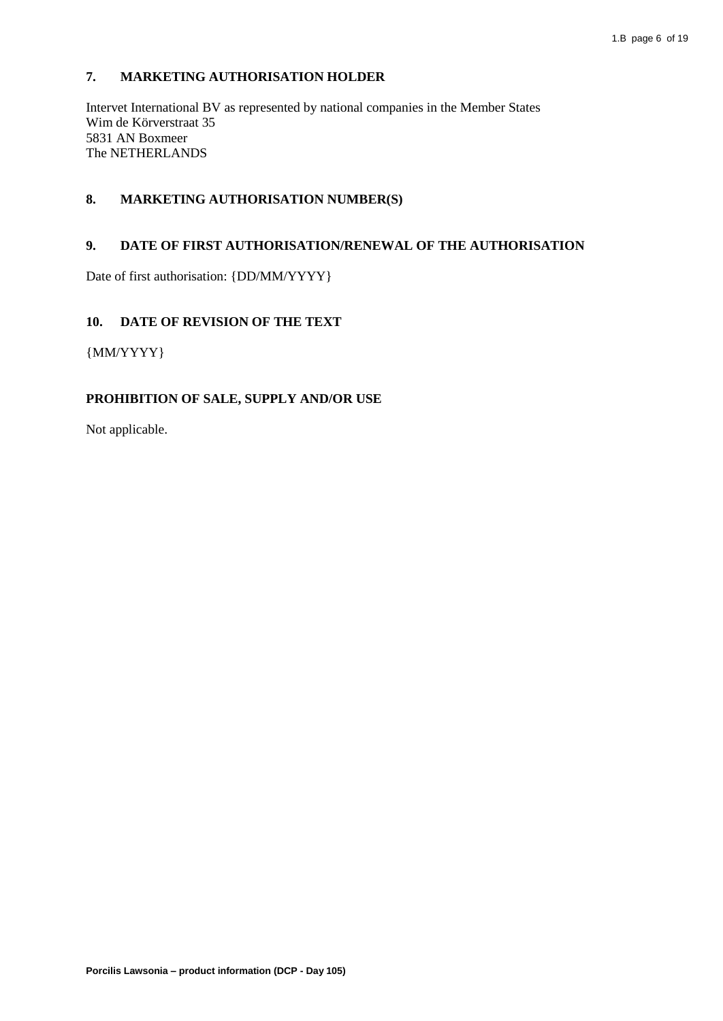# **7. MARKETING AUTHORISATION HOLDER**

Intervet International BV as represented by national companies in the Member States Wim de Körverstraat 35 5831 AN Boxmeer The NETHERLANDS

# **8. MARKETING AUTHORISATION NUMBER(S)**

## **9. DATE OF FIRST AUTHORISATION/RENEWAL OF THE AUTHORISATION**

Date of first authorisation: {DD/MM/YYYY}

## **10. DATE OF REVISION OF THE TEXT**

{MM/YYYY}

# **PROHIBITION OF SALE, SUPPLY AND/OR USE**

Not applicable.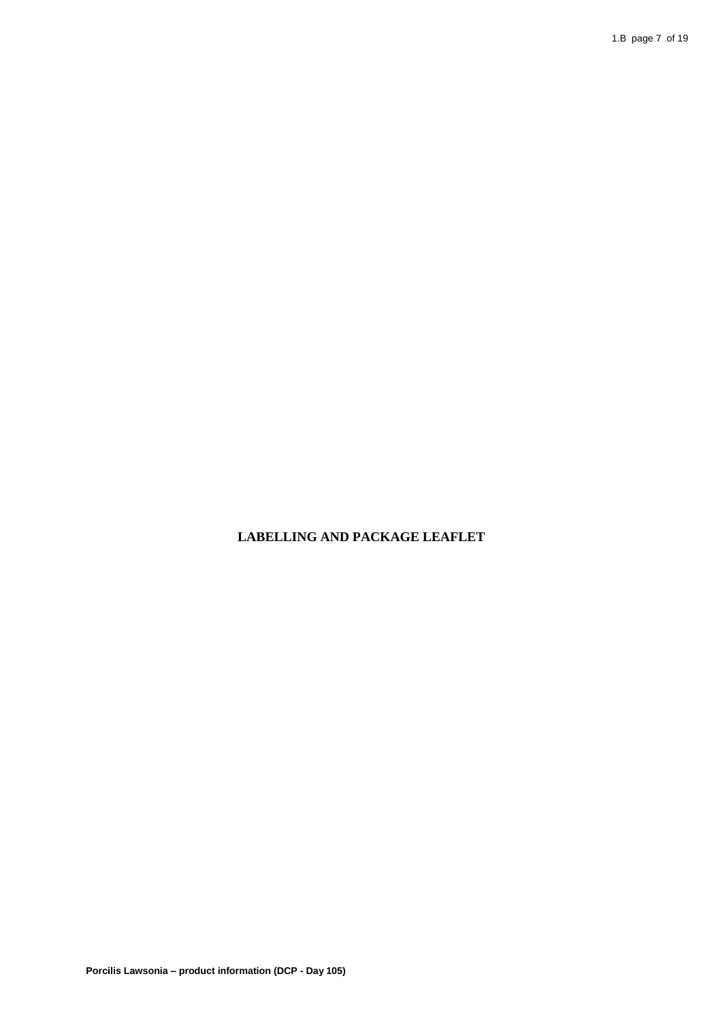# **LABELLING AND PACKAGE LEAFLET**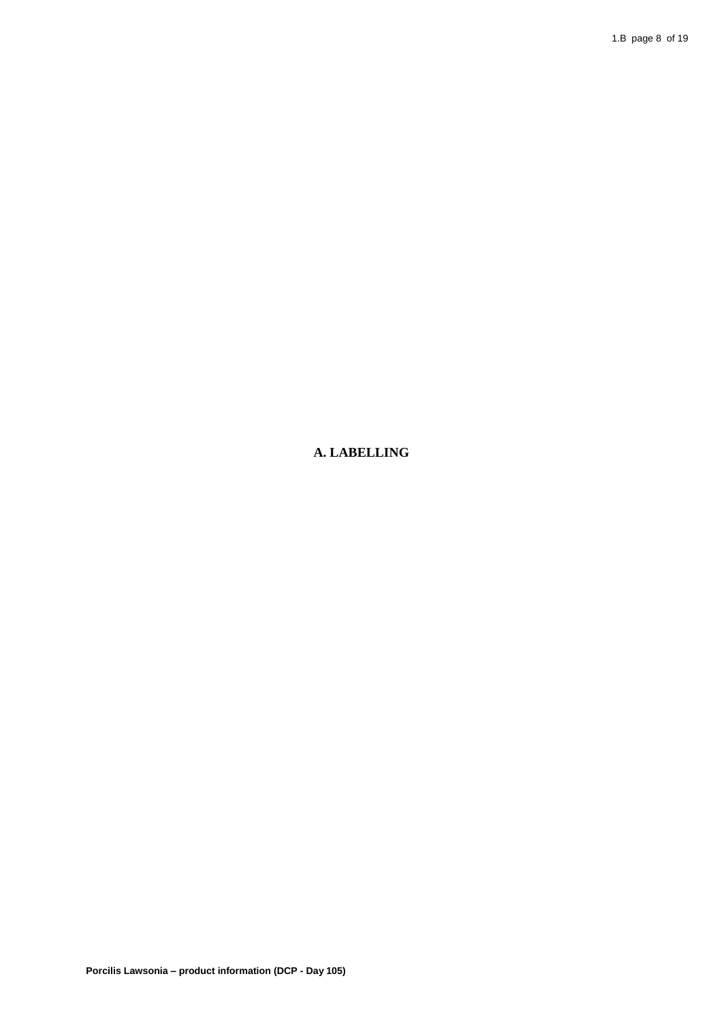# **A. LABELLING**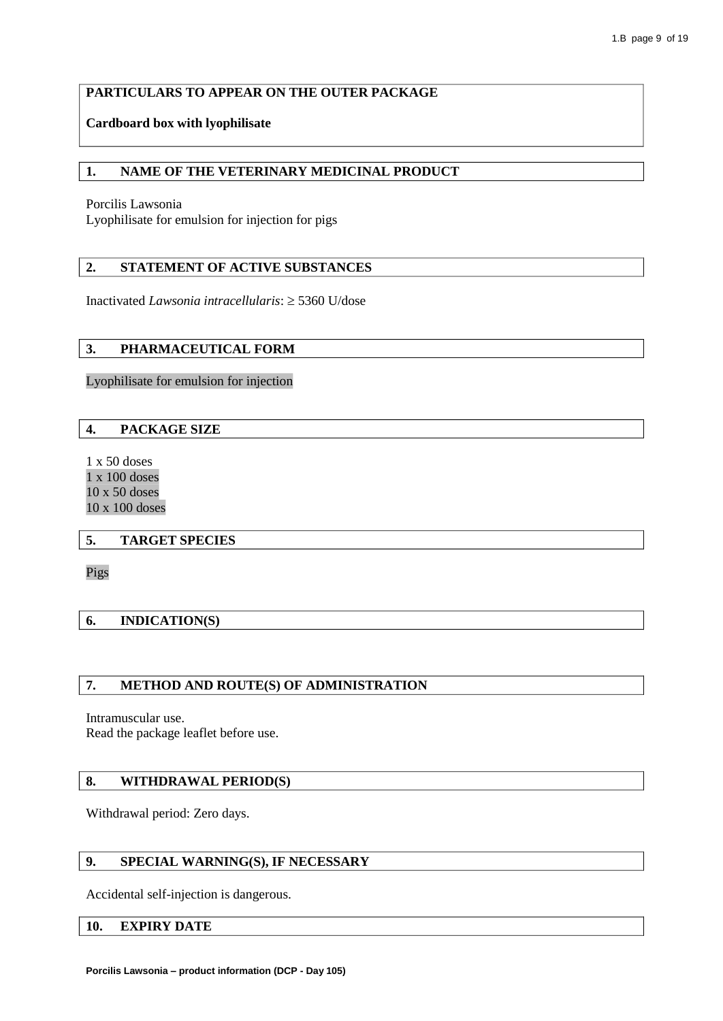# **PARTICULARS TO APPEAR ON THE OUTER PACKAGE**

# **Cardboard box with lyophilisate**

## **1. NAME OF THE VETERINARY MEDICINAL PRODUCT**

Porcilis Lawsonia

Lyophilisate for emulsion for injection for pigs

# **2. STATEMENT OF ACTIVE SUBSTANCES**

Inactivated *Lawsonia intracellularis*: 5360 U/dose

## **3. PHARMACEUTICAL FORM**

Lyophilisate for emulsion for injection

## **4. PACKAGE SIZE**

1 x 50 doses x 100 doses x 50 doses x 100 doses

## **5. TARGET SPECIES**

Pigs

# **6. INDICATION(S)**

# **7. METHOD AND ROUTE(S) OF ADMINISTRATION**

Intramuscular use. Read the package leaflet before use.

# **8. WITHDRAWAL PERIOD(S)**

Withdrawal period: Zero days.

## **9. SPECIAL WARNING(S), IF NECESSARY**

Accidental self-injection is dangerous.

#### **10. EXPIRY DATE**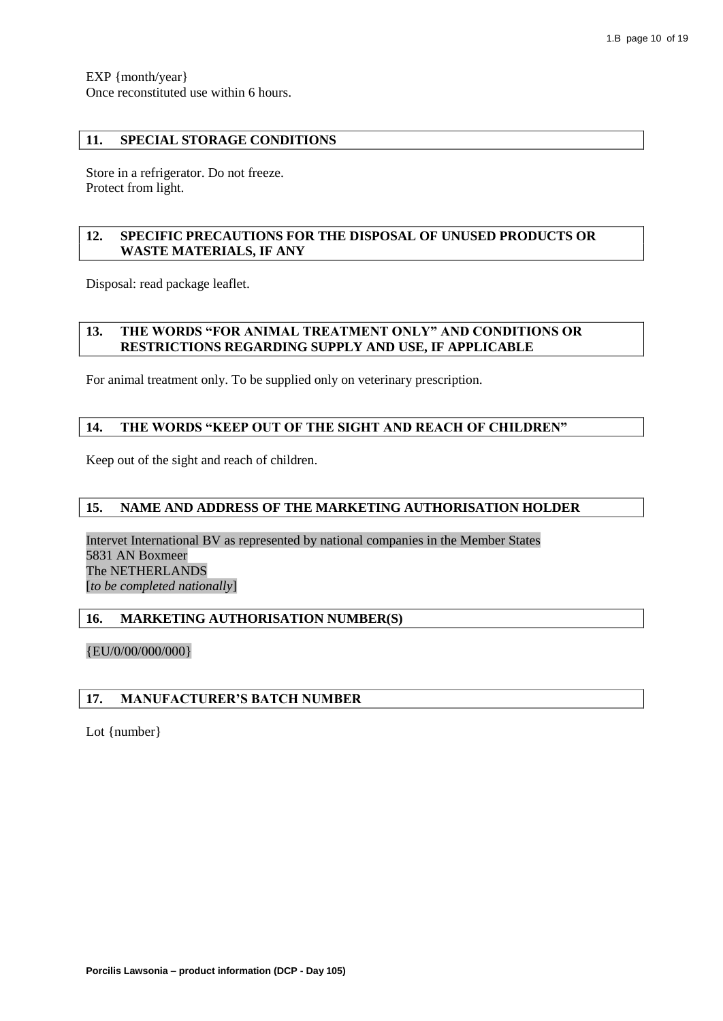EXP {month/year} Once reconstituted use within 6 hours.

# **11. SPECIAL STORAGE CONDITIONS**

Store in a refrigerator. Do not freeze. Protect from light.

# **12. SPECIFIC PRECAUTIONS FOR THE DISPOSAL OF UNUSED PRODUCTS OR WASTE MATERIALS, IF ANY**

Disposal: read package leaflet.

# **13. THE WORDS "FOR ANIMAL TREATMENT ONLY" AND CONDITIONS OR RESTRICTIONS REGARDING SUPPLY AND USE, IF APPLICABLE**

For animal treatment only. To be supplied only on veterinary prescription.

## **14. THE WORDS "KEEP OUT OF THE SIGHT AND REACH OF CHILDREN"**

Keep out of the sight and reach of children.

#### **15. NAME AND ADDRESS OF THE MARKETING AUTHORISATION HOLDER**

Intervet International BV as represented by national companies in the Member States 5831 AN Boxmeer The NETHERLANDS [*to be completed nationally*]

# **16. MARKETING AUTHORISATION NUMBER(S)**

{EU/0/00/000/000}

## **17. MANUFACTURER'S BATCH NUMBER**

Lot {number}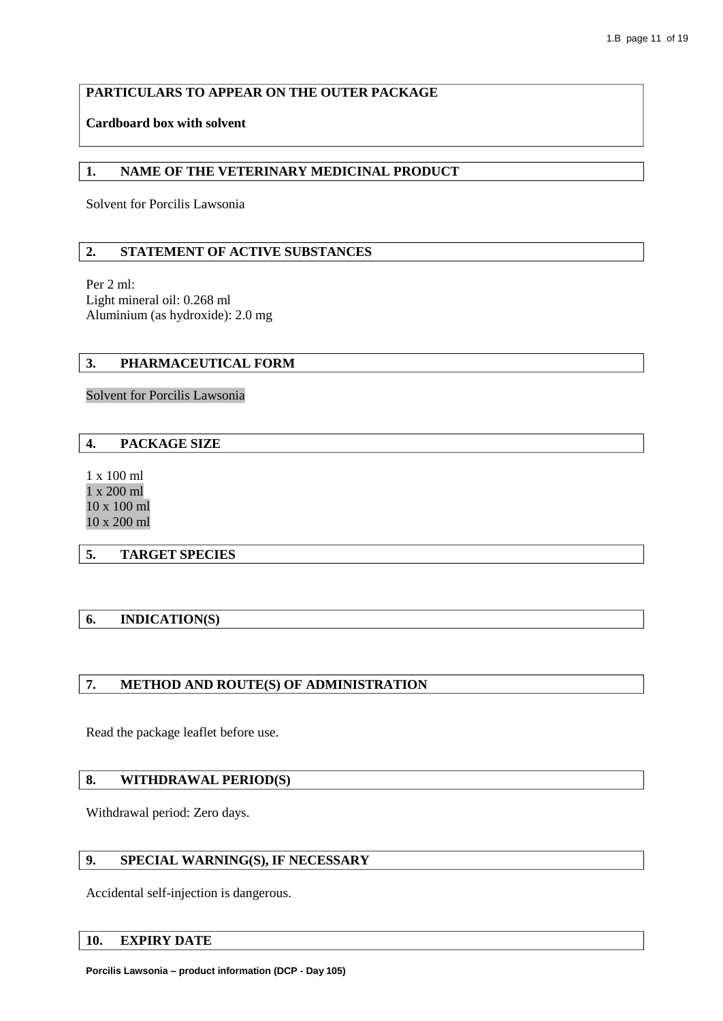## **PARTICULARS TO APPEAR ON THE OUTER PACKAGE**

# **Cardboard box with solvent**

#### **1. NAME OF THE VETERINARY MEDICINAL PRODUCT**

Solvent for Porcilis Lawsonia

#### **2. STATEMENT OF ACTIVE SUBSTANCES**

Per 2 ml: Light mineral oil: 0.268 ml Aluminium (as hydroxide): 2.0 mg

#### **3. PHARMACEUTICAL FORM**

Solvent for Porcilis Lawsonia

#### **4. PACKAGE SIZE**

1 x 100 ml 1 x 200 ml 10 x 100 ml 10 x 200 ml

#### **5. TARGET SPECIES**

#### **6. INDICATION(S)**

# **7. METHOD AND ROUTE(S) OF ADMINISTRATION**

Read the package leaflet before use.

#### **8. WITHDRAWAL PERIOD(S)**

Withdrawal period: Zero days.

## **9. SPECIAL WARNING(S), IF NECESSARY**

Accidental self-injection is dangerous.

#### **10. EXPIRY DATE**

**Porcilis Lawsonia – product information (DCP - Day 105)**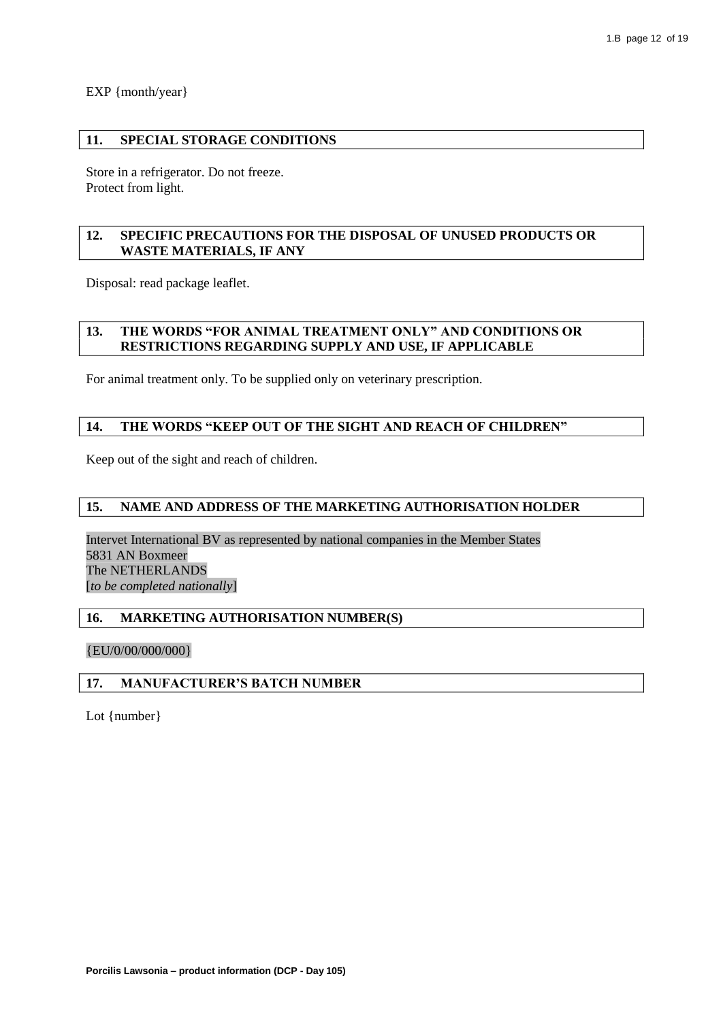EXP {month/year}

#### **11. SPECIAL STORAGE CONDITIONS**

Store in a refrigerator. Do not freeze. Protect from light.

## **12. SPECIFIC PRECAUTIONS FOR THE DISPOSAL OF UNUSED PRODUCTS OR WASTE MATERIALS, IF ANY**

Disposal: read package leaflet.

# **13. THE WORDS "FOR ANIMAL TREATMENT ONLY" AND CONDITIONS OR RESTRICTIONS REGARDING SUPPLY AND USE, IF APPLICABLE**

For animal treatment only. To be supplied only on veterinary prescription.

#### **14. THE WORDS "KEEP OUT OF THE SIGHT AND REACH OF CHILDREN"**

Keep out of the sight and reach of children.

#### **15. NAME AND ADDRESS OF THE MARKETING AUTHORISATION HOLDER**

Intervet International BV as represented by national companies in the Member States 5831 AN Boxmeer The NETHERLANDS [*to be completed nationally*]

## **16. MARKETING AUTHORISATION NUMBER(S)**

{EU/0/00/000/000}

## **17. MANUFACTURER'S BATCH NUMBER**

Lot {number}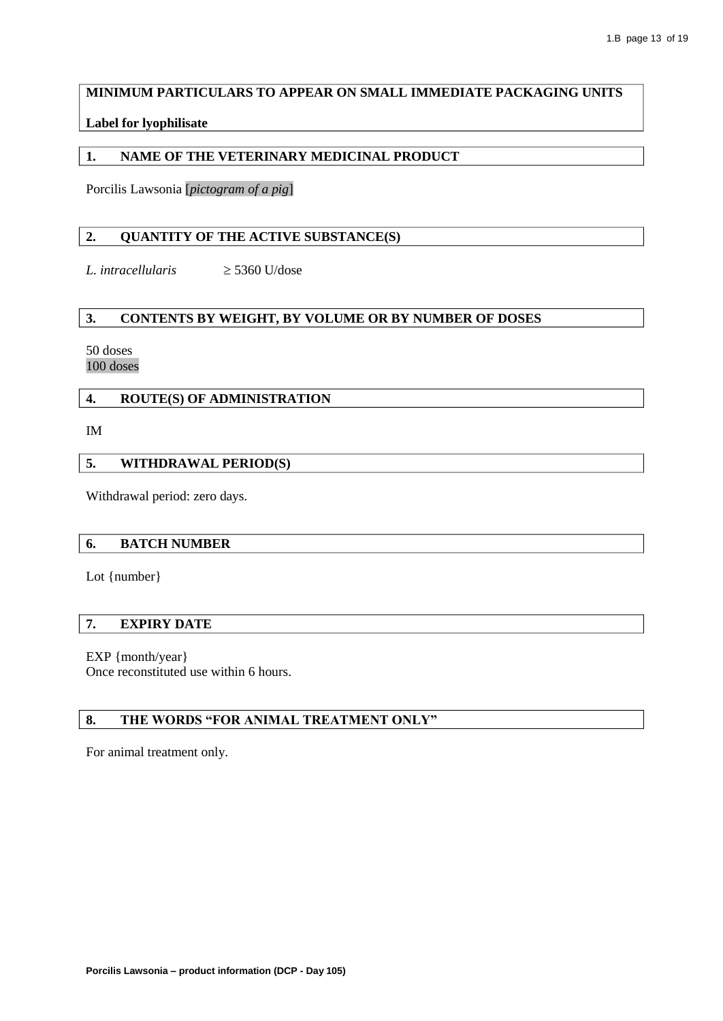# **MINIMUM PARTICULARS TO APPEAR ON SMALL IMMEDIATE PACKAGING UNITS**

# **Label for lyophilisate**

# **1. NAME OF THE VETERINARY MEDICINAL PRODUCT**

Porcilis Lawsonia [*pictogram of a pig*]

# **2. QUANTITY OF THE ACTIVE SUBSTANCE(S)**

*L. intracellularis*  $\geq 5360$  U/dose

# **3. CONTENTS BY WEIGHT, BY VOLUME OR BY NUMBER OF DOSES**

#### 50 doses 100 doses

# **4. ROUTE(S) OF ADMINISTRATION**

IM

# **5. WITHDRAWAL PERIOD(S)**

Withdrawal period: zero days.

# **6. BATCH NUMBER**

Lot {number}

# **7. EXPIRY DATE**

EXP {month/year} Once reconstituted use within 6 hours.

## **8. THE WORDS "FOR ANIMAL TREATMENT ONLY"**

For animal treatment only.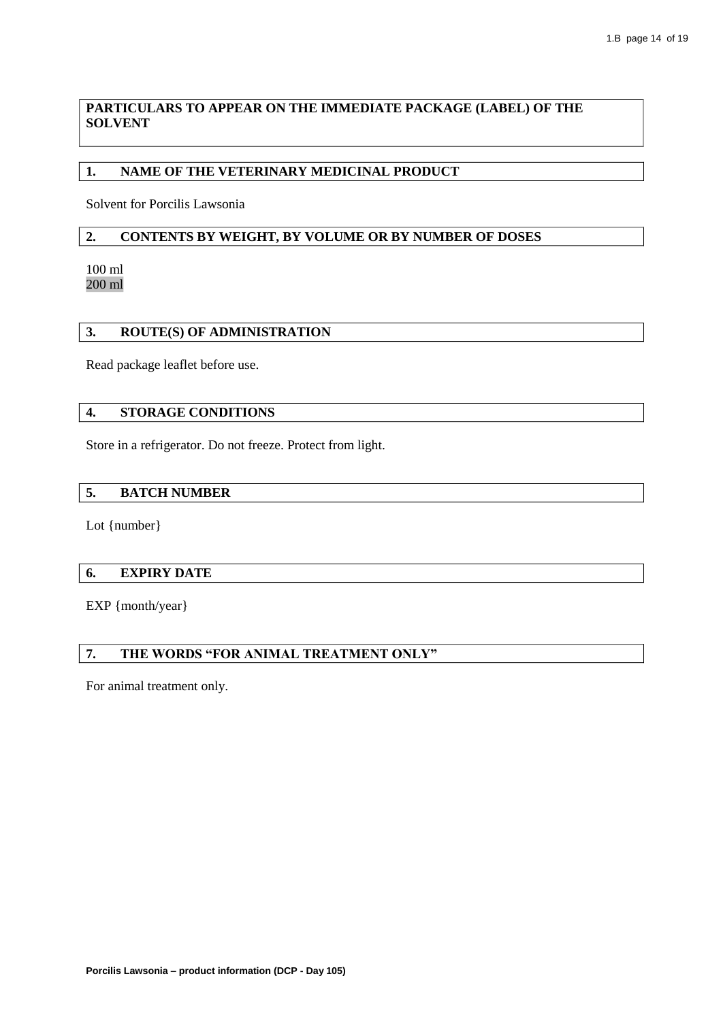# **PARTICULARS TO APPEAR ON THE IMMEDIATE PACKAGE (LABEL) OF THE SOLVENT**

# **1. NAME OF THE VETERINARY MEDICINAL PRODUCT**

Solvent for Porcilis Lawsonia

# **2. CONTENTS BY WEIGHT, BY VOLUME OR BY NUMBER OF DOSES**

100 ml 200 ml

# **3. ROUTE(S) OF ADMINISTRATION**

Read package leaflet before use.

#### **4. STORAGE CONDITIONS**

Store in a refrigerator. Do not freeze. Protect from light.

#### **5. BATCH NUMBER**

Lot {number}

## **6. EXPIRY DATE**

EXP {month/year}

# **7. THE WORDS "FOR ANIMAL TREATMENT ONLY"**

For animal treatment only.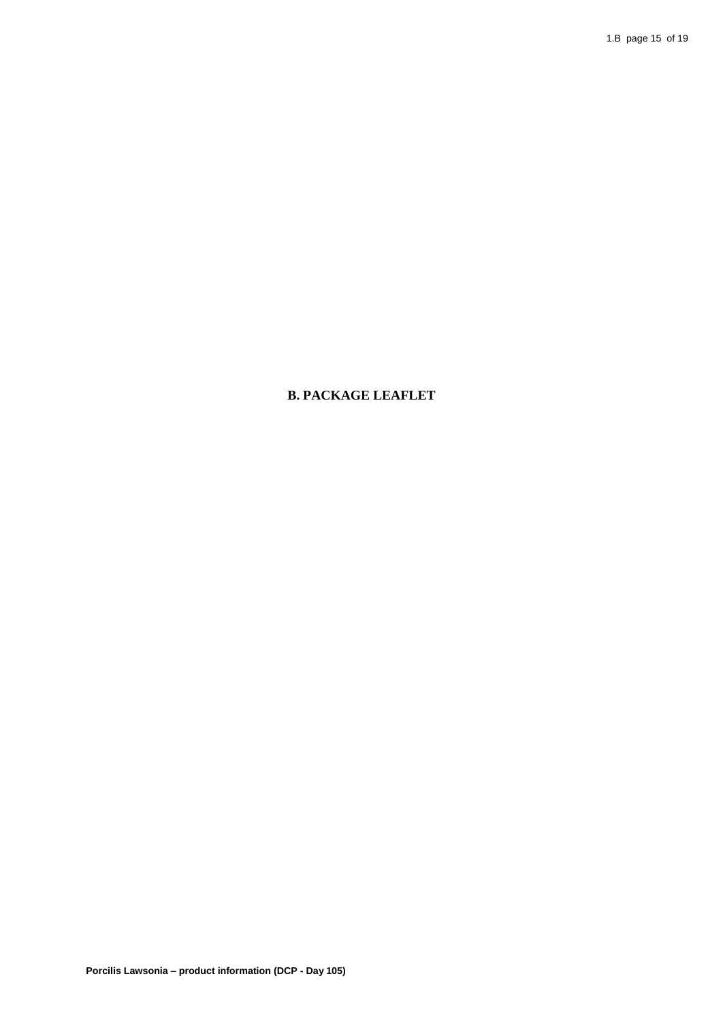# **B. PACKAGE LEAFLET**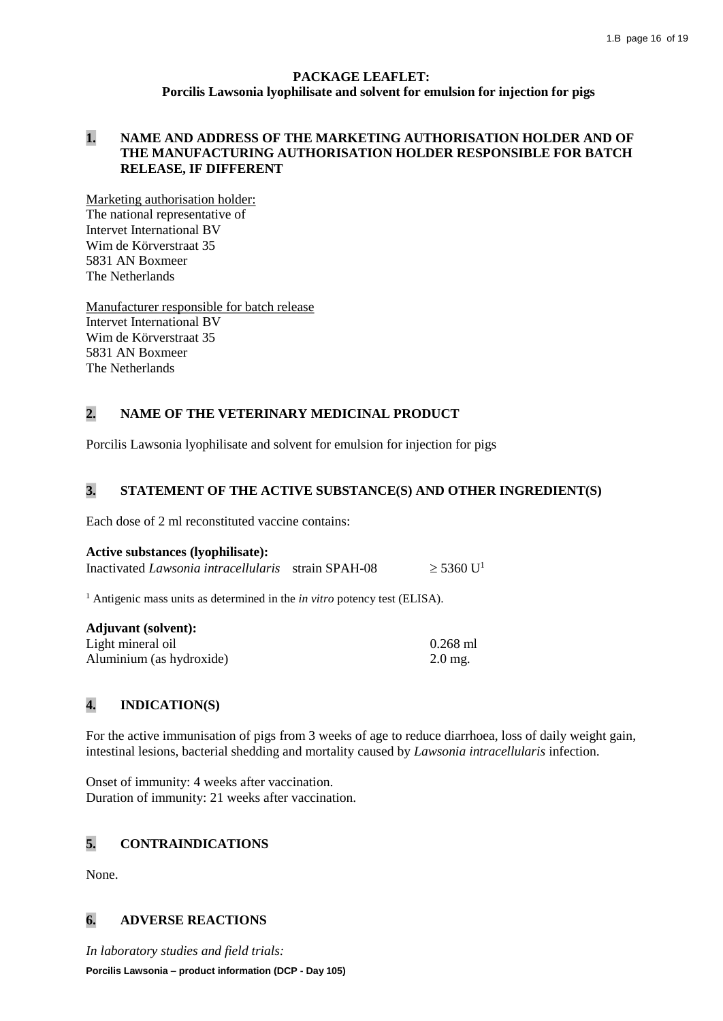# **PACKAGE LEAFLET: Porcilis Lawsonia lyophilisate and solvent for emulsion for injection for pigs**

# **1. NAME AND ADDRESS OF THE MARKETING AUTHORISATION HOLDER AND OF THE MANUFACTURING AUTHORISATION HOLDER RESPONSIBLE FOR BATCH RELEASE, IF DIFFERENT**

Marketing authorisation holder: The national representative of Intervet International BV Wim de Körverstraat 35 5831 AN Boxmeer The Netherlands

Manufacturer responsible for batch release Intervet International BV Wim de Körverstraat 35 5831 AN Boxmeer The Netherlands

# **2. NAME OF THE VETERINARY MEDICINAL PRODUCT**

Porcilis Lawsonia lyophilisate and solvent for emulsion for injection for pigs

# **3. STATEMENT OF THE ACTIVE SUBSTANCE(S) AND OTHER INGREDIENT(S)**

Each dose of 2 ml reconstituted vaccine contains:

## **Active substances (lyophilisate):**

Inactivated *Lawsonia intracellularis* strain SPAH-08  $\geq$  5360 U<sup>1</sup>

<sup>1</sup> Antigenic mass units as determined in the *in vitro* potency test (ELISA).

| <b>Adjuvant (solvent):</b> |            |
|----------------------------|------------|
| Light mineral oil          | $0.268$ ml |
| Aluminium (as hydroxide)   | $2.0$ mg.  |

# **4. INDICATION(S)**

For the active immunisation of pigs from 3 weeks of age to reduce diarrhoea, loss of daily weight gain, intestinal lesions, bacterial shedding and mortality caused by *Lawsonia intracellularis* infection.

Onset of immunity: 4 weeks after vaccination. Duration of immunity: 21 weeks after vaccination.

# **5. CONTRAINDICATIONS**

None.

# **6. ADVERSE REACTIONS**

**Porcilis Lawsonia – product information (DCP - Day 105)** *In laboratory studies and field trials:*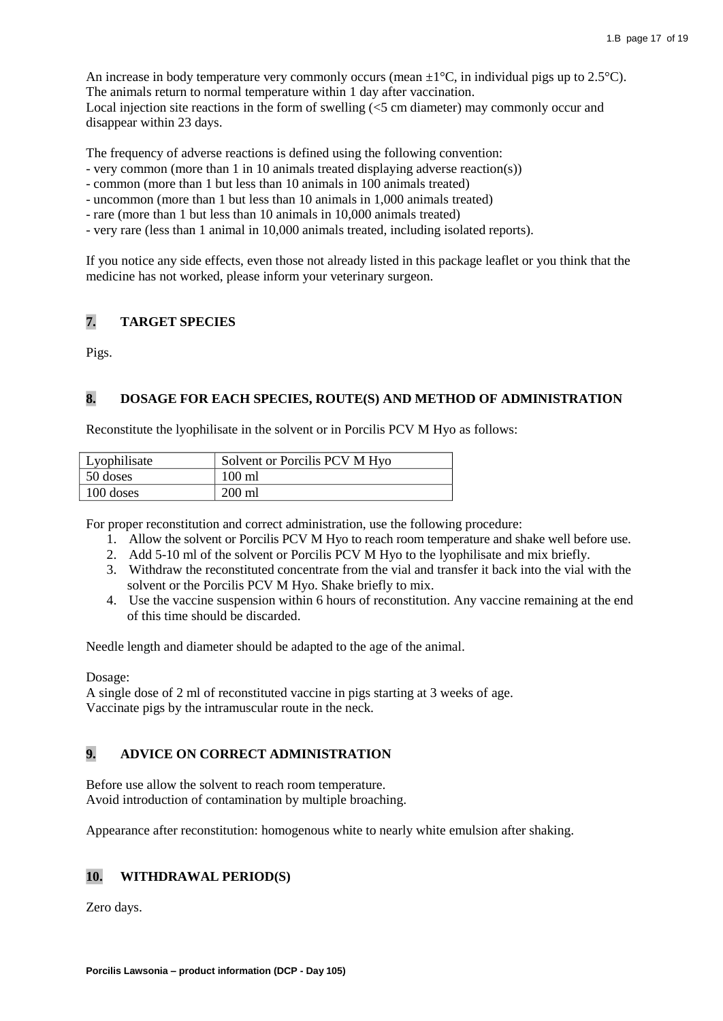An increase in body temperature very commonly occurs (mean  $\pm 1^{\circ}C$ , in individual pigs up to 2.5<sup>o</sup>C). The animals return to normal temperature within 1 day after vaccination. Local injection site reactions in the form of swelling (<5 cm diameter) may commonly occur and disappear within 23 days.

The frequency of adverse reactions is defined using the following convention:

- very common (more than 1 in 10 animals treated displaying adverse reaction(s))
- common (more than 1 but less than 10 animals in 100 animals treated)
- uncommon (more than 1 but less than 10 animals in 1,000 animals treated)
- rare (more than 1 but less than 10 animals in 10,000 animals treated)
- very rare (less than 1 animal in 10,000 animals treated, including isolated reports).

If you notice any side effects, even those not already listed in this package leaflet or you think that the medicine has not worked, please inform your veterinary surgeon.

# **7. TARGET SPECIES**

Pigs.

# **8. DOSAGE FOR EACH SPECIES, ROUTE(S) AND METHOD OF ADMINISTRATION**

Reconstitute the lyophilisate in the solvent or in Porcilis PCV M Hyo as follows:

| Lyophilisate | Solvent or Porcilis PCV M Hyo |
|--------------|-------------------------------|
| 50 doses     | $100 \text{ ml}$              |
| 100 doses    | $200$ ml                      |

For proper reconstitution and correct administration, use the following procedure:

- 1. Allow the solvent or Porcilis PCV M Hyo to reach room temperature and shake well before use.
- 2. Add 5-10 ml of the solvent or Porcilis PCV M Hyo to the lyophilisate and mix briefly.
- 3. Withdraw the reconstituted concentrate from the vial and transfer it back into the vial with the solvent or the Porcilis PCV M Hyo. Shake briefly to mix.
- 4. Use the vaccine suspension within 6 hours of reconstitution. Any vaccine remaining at the end of this time should be discarded.

Needle length and diameter should be adapted to the age of the animal.

Dosage:

A single dose of 2 ml of reconstituted vaccine in pigs starting at 3 weeks of age. Vaccinate pigs by the intramuscular route in the neck.

# **9. ADVICE ON CORRECT ADMINISTRATION**

Before use allow the solvent to reach room temperature. Avoid introduction of contamination by multiple broaching.

Appearance after reconstitution: homogenous white to nearly white emulsion after shaking.

# **10. WITHDRAWAL PERIOD(S)**

Zero days.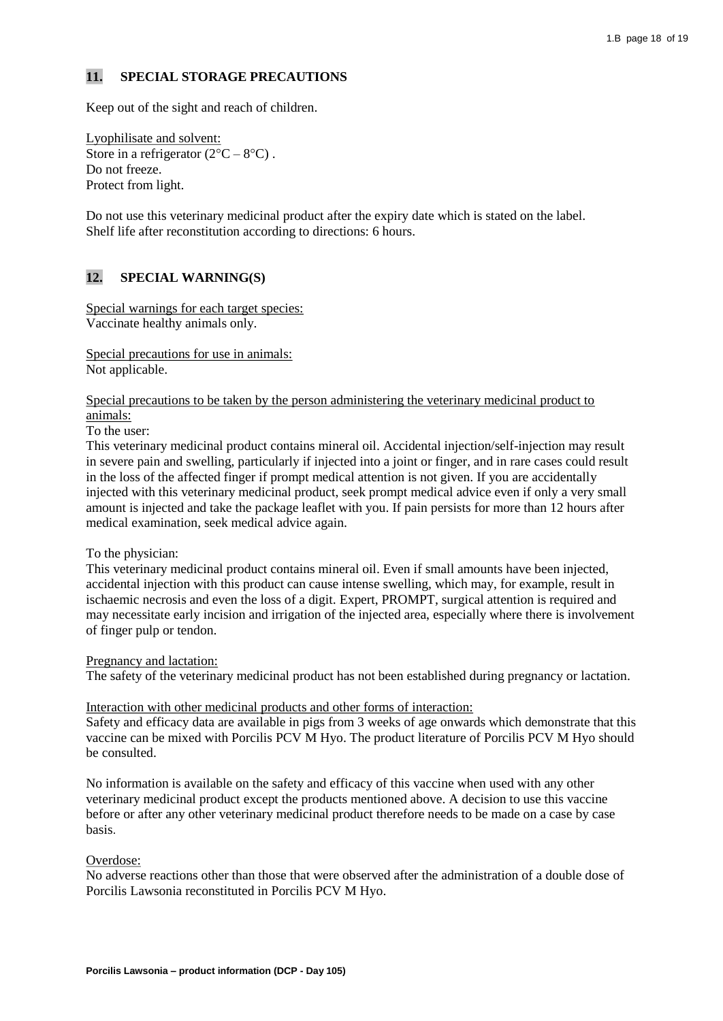# **11. SPECIAL STORAGE PRECAUTIONS**

Keep out of the sight and reach of children.

Lyophilisate and solvent: Store in a refrigerator  $(2^{\circ}C - 8^{\circ}C)$ . Do not freeze. Protect from light.

Do not use this veterinary medicinal product after the expiry date which is stated on the label. Shelf life after reconstitution according to directions: 6 hours.

# **12. SPECIAL WARNING(S)**

Special warnings for each target species: Vaccinate healthy animals only.

Special precautions for use in animals: Not applicable.

#### Special precautions to be taken by the person administering the veterinary medicinal product to animals:

To the user:

This veterinary medicinal product contains mineral oil. Accidental injection/self-injection may result in severe pain and swelling, particularly if injected into a joint or finger, and in rare cases could result in the loss of the affected finger if prompt medical attention is not given. If you are accidentally injected with this veterinary medicinal product, seek prompt medical advice even if only a very small amount is injected and take the package leaflet with you. If pain persists for more than 12 hours after medical examination, seek medical advice again.

## To the physician:

This veterinary medicinal product contains mineral oil. Even if small amounts have been injected, accidental injection with this product can cause intense swelling, which may, for example, result in ischaemic necrosis and even the loss of a digit. Expert, PROMPT, surgical attention is required and may necessitate early incision and irrigation of the injected area, especially where there is involvement of finger pulp or tendon.

#### Pregnancy and lactation:

The safety of the veterinary medicinal product has not been established during pregnancy or lactation.

#### Interaction with other medicinal products and other forms of interaction:

Safety and efficacy data are available in pigs from 3 weeks of age onwards which demonstrate that this vaccine can be mixed with Porcilis PCV M Hyo. The product literature of Porcilis PCV M Hyo should be consulted.

No information is available on the safety and efficacy of this vaccine when used with any other veterinary medicinal product except the products mentioned above. A decision to use this vaccine before or after any other veterinary medicinal product therefore needs to be made on a case by case basis.

#### Overdose:

No adverse reactions other than those that were observed after the administration of a double dose of Porcilis Lawsonia reconstituted in Porcilis PCV M Hyo.